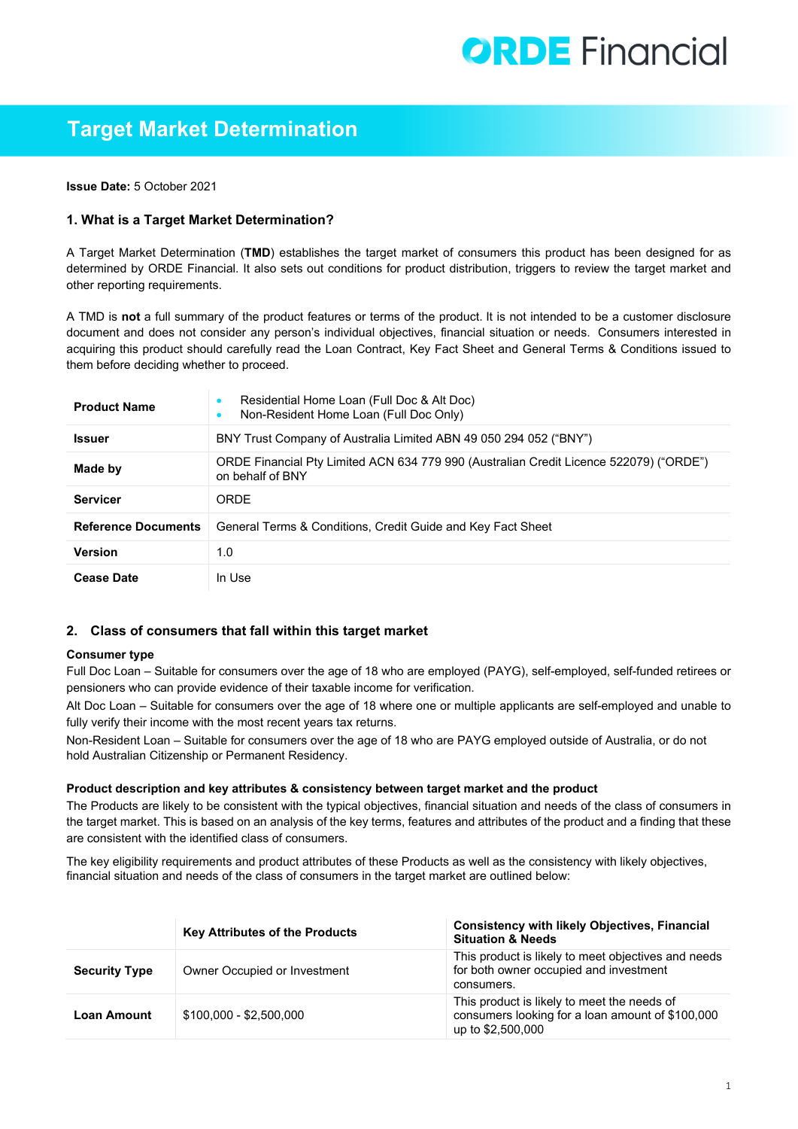# **ORDE** Financial

# **Target Market Determination**

**Issue Date:** 5 October 2021

# **1. What is a Target Market Determination?**

A Target Market Determination (**TMD**) establishes the target market of consumers this product has been designed for as determined by ORDE Financial. It also sets out conditions for product distribution, triggers to review the target market and other reporting requirements.

A TMD is **not** a full summary of the product features or terms of the product. It is not intended to be a customer disclosure document and does not consider any person's individual objectives, financial situation or needs. Consumers interested in acquiring this product should carefully read the Loan Contract, Key Fact Sheet and General Terms & Conditions issued to them before deciding whether to proceed.

| <b>Product Name</b>        | Residential Home Loan (Full Doc & Alt Doc)<br>Non-Resident Home Loan (Full Doc Only)                       |
|----------------------------|------------------------------------------------------------------------------------------------------------|
| <b>Issuer</b>              | BNY Trust Company of Australia Limited ABN 49 050 294 052 ("BNY")                                          |
| Made by                    | ORDE Financial Pty Limited ACN 634 779 990 (Australian Credit Licence 522079) ("ORDE")<br>on behalf of BNY |
| <b>Servicer</b>            | <b>ORDE</b>                                                                                                |
| <b>Reference Documents</b> | General Terms & Conditions, Credit Guide and Key Fact Sheet                                                |
| <b>Version</b>             | 1.0                                                                                                        |
| <b>Cease Date</b>          | In Use                                                                                                     |

### **2. Class of consumers that fall within this target market**

#### **Consumer type**

Full Doc Loan – Suitable for consumers over the age of 18 who are employed (PAYG), self-employed, self-funded retirees or pensioners who can provide evidence of their taxable income for verification.

Alt Doc Loan – Suitable for consumers over the age of 18 where one or multiple applicants are self-employed and unable to fully verify their income with the most recent years tax returns.

Non-Resident Loan – Suitable for consumers over the age of 18 who are PAYG employed outside of Australia, or do not hold Australian Citizenship or Permanent Residency.

#### **Product description and key attributes & consistency between target market and the product**

The Products are likely to be consistent with the typical objectives, financial situation and needs of the class of consumers in the target market. This is based on an analysis of the key terms, features and attributes of the product and a finding that these are consistent with the identified class of consumers.

The key eligibility requirements and product attributes of these Products as well as the consistency with likely objectives, financial situation and needs of the class of consumers in the target market are outlined below:

|                      | <b>Key Attributes of the Products</b> | <b>Consistency with likely Objectives, Financial</b><br><b>Situation &amp; Needs</b>                                 |
|----------------------|---------------------------------------|----------------------------------------------------------------------------------------------------------------------|
| <b>Security Type</b> | Owner Occupied or Investment          | This product is likely to meet objectives and needs<br>for both owner occupied and investment<br>consumers.          |
| <b>Loan Amount</b>   | \$100,000 - \$2,500,000               | This product is likely to meet the needs of<br>consumers looking for a loan amount of \$100,000<br>up to \$2,500,000 |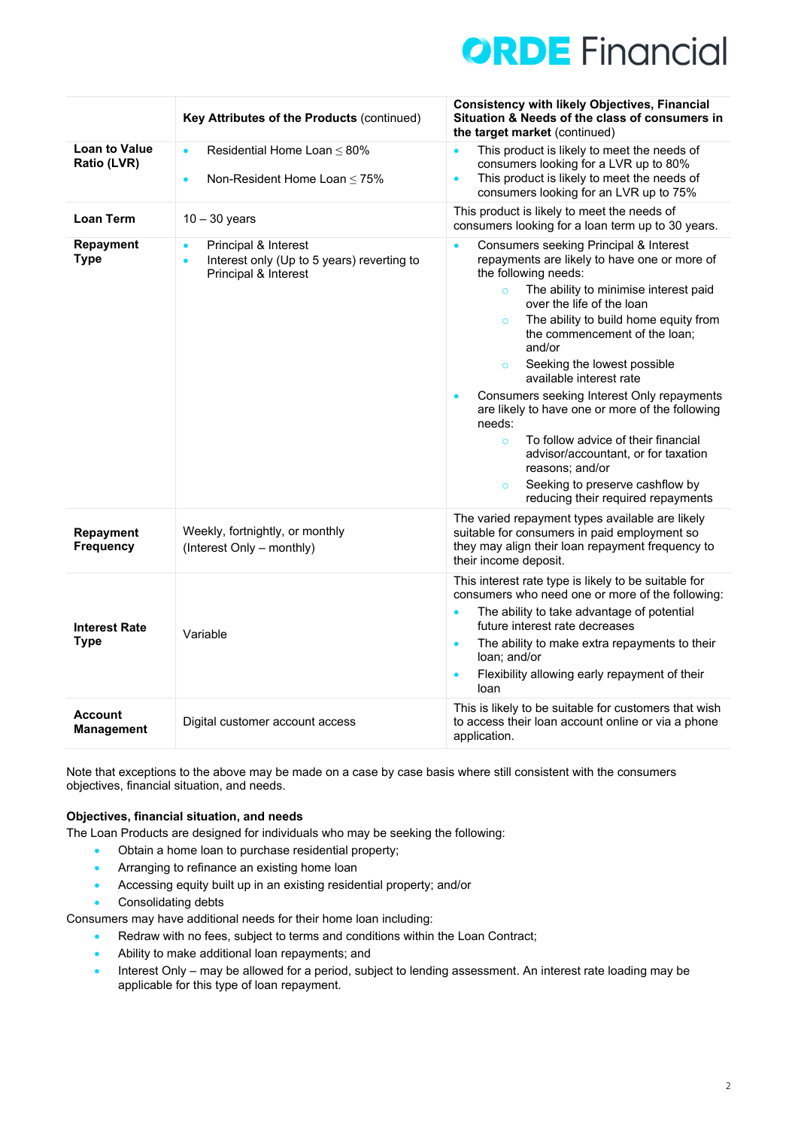

|                                     | Key Attributes of the Products (continued)                                                                           | <b>Consistency with likely Objectives, Financial</b><br>Situation & Needs of the class of consumers in<br>the target market (continued)                                                                                                                                                                                                                                                                                                                                                                                                                                                                                                                                                                  |
|-------------------------------------|----------------------------------------------------------------------------------------------------------------------|----------------------------------------------------------------------------------------------------------------------------------------------------------------------------------------------------------------------------------------------------------------------------------------------------------------------------------------------------------------------------------------------------------------------------------------------------------------------------------------------------------------------------------------------------------------------------------------------------------------------------------------------------------------------------------------------------------|
| <b>Loan to Value</b><br>Ratio (LVR) | Residential Home Loan $\leq$ 80%<br>$\bullet$<br>Non-Resident Home Loan $\leq 75\%$<br>$\bullet$                     | This product is likely to meet the needs of<br>$\bullet$<br>consumers looking for a LVR up to 80%<br>This product is likely to meet the needs of<br>$\bullet$<br>consumers looking for an LVR up to 75%                                                                                                                                                                                                                                                                                                                                                                                                                                                                                                  |
| <b>Loan Term</b>                    | $10 - 30$ years                                                                                                      | This product is likely to meet the needs of<br>consumers looking for a loan term up to 30 years.                                                                                                                                                                                                                                                                                                                                                                                                                                                                                                                                                                                                         |
| Repayment<br><b>Type</b>            | Principal & Interest<br>$\bullet$<br>Interest only (Up to 5 years) reverting to<br>$\bullet$<br>Principal & Interest | Consumers seeking Principal & Interest<br>$\bullet$<br>repayments are likely to have one or more of<br>the following needs:<br>The ability to minimise interest paid<br>$\circ$<br>over the life of the loan<br>The ability to build home equity from<br>$\circ$<br>the commencement of the loan;<br>and/or<br>Seeking the lowest possible<br>$\circ$<br>available interest rate<br>Consumers seeking Interest Only repayments<br>$\bullet$<br>are likely to have one or more of the following<br>needs:<br>To follow advice of their financial<br>$\circ$<br>advisor/accountant, or for taxation<br>reasons; and/or<br>Seeking to preserve cashflow by<br>$\circ$<br>reducing their required repayments |
| Repayment<br><b>Frequency</b>       | Weekly, fortnightly, or monthly<br>(Interest Only - monthly)                                                         | The varied repayment types available are likely<br>suitable for consumers in paid employment so<br>they may align their loan repayment frequency to<br>their income deposit.                                                                                                                                                                                                                                                                                                                                                                                                                                                                                                                             |
| <b>Interest Rate</b><br><b>Type</b> | Variable                                                                                                             | This interest rate type is likely to be suitable for<br>consumers who need one or more of the following:<br>The ability to take advantage of potential<br>$\bullet$<br>future interest rate decreases<br>The ability to make extra repayments to their<br>$\bullet$<br>loan; and/or<br>Flexibility allowing early repayment of their<br>$\bullet$<br>loan                                                                                                                                                                                                                                                                                                                                                |
| <b>Account</b><br><b>Management</b> | Digital customer account access                                                                                      | This is likely to be suitable for customers that wish<br>to access their loan account online or via a phone<br>application.                                                                                                                                                                                                                                                                                                                                                                                                                                                                                                                                                                              |

Note that exceptions to the above may be made on a case by case basis where still consistent with the consumers objectives, financial situation, and needs.

### **Objectives, financial situation, and needs**

The Loan Products are designed for individuals who may be seeking the following:

- Obtain a home loan to purchase residential property;
- Arranging to refinance an existing home loan
- Accessing equity built up in an existing residential property; and/or
- Consolidating debts

Consumers may have additional needs for their home loan including:

- Redraw with no fees, subject to terms and conditions within the Loan Contract;
- Ability to make additional loan repayments; and
- Interest Only may be allowed for a period, subject to lending assessment. An interest rate loading may be applicable for this type of loan repayment.